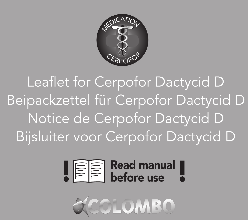

Leaflet for Cerpofor Dactycid D Beipackzettel für Cerpofor Dactycid D Notice de Cerpofor Dactycid D Bijsluiter voor Cerpofor Dactycid D



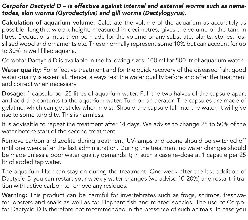### *Cerpofor Dactycid D – is effective against internal and external worms such as nematodes, skin worms (Gyrodactylus) and gill worms (Dactylogyrus).*

Calculation of aquarium volume: Calculate the volume of the aquarium as accurately as possible: length x wide x height, measured in decimetres, gives the volume of the tank in litres. Deductions must then be made for the volume of any substrate, plants, stones, fossilised wood and ornaments etc. These normally represent some 10% but can account for up to 30% in well filled aquaria.

Cerpofor Dactycid D is available in the following sizes: 100 ml for 500 ltr of aquarium water.

Water quality: For effective treatment and for the quick recovery of the diseased fish, good water quality is essential. Hence, always test the water quality before and after the treatment and correct when necessary.

Dosage: 1 capsule per 25 litres of aquarium water. Pull the two halves of the capsule apart and add the contents to the aquarium water. Turn on an aerator. The capsules are made of gelatine, which can get sticky when moist. Should the capsule fall into the water, it will give rise to some turbidity. This is harmless.

It is advisable to repeat the treatment after 14 days. We advise to change 25 to 50% of the water before start of the second treatment.

Remove carbon and zeolite during treatment; UV-lamps and ozone should be switched off until one week after the last administration. During the treatment no water changes should be made unless a poor water quality demands it; in such a case re-dose at 1 capsule per 25 ltr of added tap water.

The aquarium filter can stay on during the treatment. One week after the last addition of Dactycid D you can restart your weekly water changes (we advise 10-20%) and restart filtration with active carbon to remove any residues.

Warning: This product can be harmful for invertebrates such as frogs, shrimps, freshwater lobsters and snails as well as for Elephant fish and related species. The use of Cerpofor Dactycid D is therefore not recommended in the presence of such animals. In case you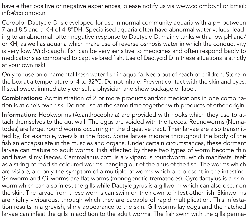have either positive or negative experiences, please notify us via www.colombo.nl or Email: info@colombo.nl

Cerpofor Dactycid D is developed for use in normal community aquaria with a pH between 7 and 8.5 and a KH of 4-8°DH. Specialised aquaria often have abnormal water values, leading to an abnormal, often negative response to Dactycid D; mainly tanks with a low pH and/ or KH, as well as aquaria which make use of reverse osmosis water in which the conductivity is very low. Wild-caught fish can be very sensitive to medicines and often respond badly to medications as compared to captive bred fish. Use of Dactycid D in these situations is strictly at your own risk!

Only for use on ornamental fresh water fish in aquaria. Keep out of reach of children. Store in the box at a temperature of 4 to 32°C. Do not inhale. Prevent contact with the skin and eyes. If swallowed, immediately consult a physician and show package or label.

Combinations: Administration of 2 or more products and/or medications in one combination is at one's own risk. Do not use at the same time together with products of other origin!

Information: Hookworms (Acanthocephala) are provided with hooks which they use to attach themselves to the gut wall. The eggs are voided with the faeces. Roundworms (Nematodes) are large, round worms occurring in the digestive tract. Their larvae are also transmitted by, for example, weevils in the food. Some larvae migrate throughout the body of the fish an encapsulate in the muscles and organs. Under certain circumstances, these dormant larvae can mature to adult worms. Fish affected by these two types of worm become thin and have slimy faeces. Cammalanus cotti is a viviparous roundworm, which manifests itself as a string of reddish coloured worms, hanging out of the anus of the fish. The worms which are visible, are only the symptom of a multiple of worms which are present in the intestine. Skinworm and Gillworms are flat worms (monogenetic trematodes). Gyrodactylus is a skinworm which can also infest the gills while Dactylogyrus is a gillworm which can also occur on the skin. The larvae from these worms can swim on their own to infest other fish. Skinworms are highly viviparous, through which they are capable of rapid multiplication. This infestation results in a greyish, slimy appearance to the skin. Gill worms lay eggs and the hatched larvae can infest the gills in addition to the adult worms. The fish swim with the gills perma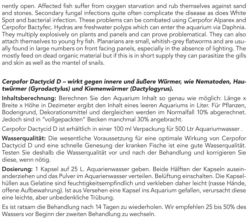nently open. Affected fish suffer from oxygen starvation and rub themselves against sand and stones. Secondary fungal infections quite often complicate the disease as does White Spot and bacterial infection. These problems can be combated using Cerpofor Alparex and Cerpofor Bactyfec. Hydras are freshwater polyps which can enter the aquarium via Daphnia. They multiply explosively on plants and panels and can prove problematical. They can also attach themselves to young fry fish. Planarians are small, whitish-grey flatworms and are usually found in large numbers on front facing panels, especially in the absence of lighting. The mostly feed on dead organic material but if this is in short supply they can parasitize the gills and skin as well as the mantel of snails.

### *Cerpofor Dactycid D – wirkt gegen innere und äußere Würmer, wie Nematoden, Hautwürmer (Gyrodactylus) und Kiemenwürmer (Dactylogyrus).*

Inhaltsberechnung: Berechnen Sie den Aquarium Inhalt so genau wie möglich: Länge x Breite x Höhe in Dezimeter ergibt den Inhalt eines leeren Aquariums in Liter. Für Pflanzen, Bodengrund, Dekorationsmittel und dergleichen werden im Normalfall 10% abgerechnet. Jedoch sind in "vollgepackten" Becken manchmal 30% angebracht.

Cerpofor Dactycid D ist erhältlich in einer 100 ml Verpackung für 500 Ltr Aquariumwasser .

Wasserqualität: Die wesentliche Voraussetzung für eine optimale Wirkung von Cerpofor Dactycid D und eine schnelle Genesung der kranken Fische ist eine gute Wasserqualität. Testen Sie deshalb die Wasserqualität vor und nach der Behandlung und korrigieren Sie diese, wenn nötig.

Dosierung: 1 Kapsel auf 25 L. Aquarienwasser geben. Beide Hälften der Kapseln auseinanderziehen und das Pulver im Aquarienwasser verteilen. Belüftung einschalten. Die Kapselhüllen aus Gelatine sind feuchtigkeitsempfindlich und verkleben daher leicht (nasse Hände, offene Aufbewahrung). Ist aus Versehen eine Kapsel ins Aquarium gefallen, verursacht diese eine leichte, aber unbedenkliche Trübung.

Es ist ratsam die Behandlung nach 14 Tagen zu wiederholen. Wir empfehlen 25 bis 50% des Wassers vor Beginn der zweiten Behandlung zu wechseln.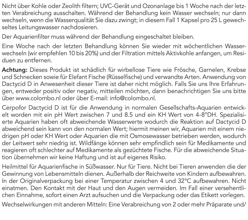Nicht über Kohle oder Zeolith filtern; UVC-Gerät und Ozonanlage bis 1 Woche nach der letzten Verabreichung ausschalten. Während der Behandlung kein Wasser wechseln; nur dann wechseln, wenn die Wasserqualität Sie dazu zwingt; in diesem Fall 1 Kapsel pro 25 L gewechseltes Leitungswasser nachdosieren.

Der Aquarienfilter muss während der Behandlung eingeschaltet bleiben.

Eine Woche nach der letzten Behandlung können Sie wieder mit wöchentlichen Wasserwechseln (wir empfehlen 10 bis 20%) und der Filtration mittels Aktivkohle anfangen, um Residuen zu entfernen.

Achtung: Dieses Produkt ist schädlich für wirbellose Tiere wie Frösche, Garnelen, Krebse und Schnecken sowie für Elefant Fische (Rüsselfische) und verwandte Arten. Anwendung von Dactycid D in Anwesenheit dieser Tiere ist daher nicht möglich. Falls Sie uns Ihre Erfahrungen, entweder positiv oder negativ, mitteilen möchten, dann benachrichtigen Sie uns bitte über www.colombo.nl oder über E-mail: info@colombo.nl.

Cerpofor Dactycid D ist für die Anwendung in normalen Gesellschafts-Aquarien entwickelt worden mit ein pH Wert zwischen 7 und 8.5 und ein KH Wert von 4-8°DH. Spezialisierte Aquarien haben oft abweichende Wasserwerte wodurch die Reaktion auf Dactycid D abweichend sein kann von den normalen Wert; hiermit meinen wir, Aquarien mit einem niedrigen pH oder KH Wert oder Aquarien die mit Osmosewasser betrieben werden, wodurch der Leitwert sehr niedrig ist. Wildfänge können sehr empfindlich sein für Medikamente und reagieren oft schlechter auf Medikamente als gezüchtete Fische. Für die abweichende Situation übernehmen wir keine Haftung und ist auf eigenes Risiko.

Heilmittel für Aquarienfische in Süßwasser. Nur für Tiere. Nicht bei Tieren anwenden die der Gewinnung von Lebensmitteln dienen. Außerhalb der Reichweite von Kindern aufbewahren. In der Originalverpackung bei einer Temperatur zwischen 4 und 32°C aufbewahren. Nicht einatmen. Den Kontakt mit der Haut und den Augen vermeiden. Im Fall einer versehentlichen Einnahme, sofort einen Arzt aufsuchen und die Verpackung oder das Etikett vorlegen.

Wechselwirkungen mit anderen Mitteln: Eine Verabreichung von 2 oder mehr Präparate und/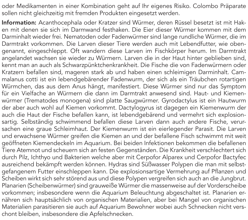oder Medikamenten in einer Kombination geht auf Ihr eigenes Risiko. Colombo Präparate sollen nicht gleichzeitig mit fremden Produkten eingesetzt werden.

Information: Acanthocephala oder Kratzer sind Würmer, deren Rüssel besetzt ist mit Haken mit denen sie sich im Darmwand festhaken. Die Eier dieser Würmer kommen mit dem Darminhalt wieder frei. Nematoden oder Fadenwürmer sind lange rundliche Würmer, die im Darmtrakt vorkommen. Die Larven dieser Tiere werden auch mit Lebendfutter, wie obengenannt, eingeschleppt. Oft wandern diese Larven im Fischkörper herum. Im Darmtrakt angelandet wachsen sie wieder zu Würmern. Larven die in der Haut hinter geblieben sind, kennt man an auch als Schwarzpünktchenkrankheit. Die Fische die von Fadenwürmern oder Kratzern befallen sind, mageren stark ab und haben einen schleimigen Darminhalt. Cammalanus cotti ist ein lebendgebärender Fadenwurm, der sich als ein Träubchen rotartigen Würmchen, das aus dem Anus hängt, manifestiert. Diese Würmer sind nur das Symptom für ein Vielfache an Würmern die dann im Darmtrakt anwesend sind. Haut- und Kiemenwürmer (Trematodes monogena) sind platte Saugwürmer. Gyrodactylus ist ein Hautwurm der aber auch wohl auf Kiemen vorkommt. Dactylogyrus ist dagegen ein Kiemenwurm der auch die Haut der Fische befallen kann, ist lebendgebärend und vermehrt sich explosionsartig. Selbständig schwimmend befallen diese Larven dann auch andere Fische, verursachen eine graue Schleimhaut. Der Kiemenwurm ist ein eierlegender Parasit. Die Larven und erwachsene Würmer greifen die Kiemen an und der befallene Fisch schwimmt mit weit geöffneten Kiemendeckeln im Aquarium. Bei beiden Infektionen bekommen die befallenen Tiere Atemnot und scheuern sich an festen Gegenständen. Die Krankheit verschlechtert sich durch Pilz, Ichthyo und Bakterien welche aber mit Cerpofor Alparex und Cerpofor Bactyfec ausreichend bekämpft werden können. Hydras sind Süßwasser Polypen die man mit selbstgefangenem Futter einschleppen kann. Die explosionsartige Vermehrung auf Pflanzen und Scheiben wirkt sich sehr störend aus und diese Polypen vergreifen sich auch an die Jungbrut. Planarien (Scheibenwürmer) sind grauweiße Würmer die massenweise auf der Vorderscheibe vorkommen; insbesondere wenn die Aquarium Beleuchtung abgeschaltet ist. Planarien ernähren sich hauptsächlich von organischen Materialien, aber bei Mangel von organischen Materialien parasitieren sie auch auf Aquarium Bewohner wobei auch Schnecken nicht verschont bleiben, insbesondere die Apfelschnecken.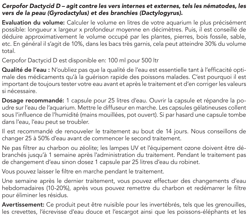### *Cerpofor Dactycid D – agit contre les vers internes et externes, tels les nématodes, les vers de la peau (Gyrodactylus) et des branchies (Dactylogyrus).*

Evaluation du volume: Calculer le volume en litres de votre aquarium le plus précisément possible: longueur x largeur x profondeur moyenne en décimètres. Puis, il est conseillé de déduire approximativement le volume occupé par les plantes, pierres, bois fossile, sable, etc. En général il s'agit de 10%, dans les bacs très garnis, cela peut atteindre 30% du volume total.

Cerpofor Dactycid D est disponible en: 100 ml pour 500 ltr

Qualité de l'eau : N'oubliez pas que la qualité de l'eau est essentielle tant à l'efficacité optimale des médicaments qu'à la guérison rapide des poissons malades. C'est pourquoi il est important de toujours tester votre eau avant et après le traitement et d'en corriger les valeurs si nécessaire.

Dosage recommandé: 1 capsule pour 25 litres d'eau. Ouvrir la capsule et répandre la poudre sur l'eau de l'aquarium. Mettre le diffuseur en marche. Les capsules gélatineuses collent sous l'influence de l'humidité (mains mouillées, pot ouvert). Si par hasard une capsule tombe dans l'eau, l'eau peut se troubler.

Il est recommandé de renouveler le traitement au bout de 14 jours. Nous conseillons de changer 25 à 50% d'eau avant de commencer le second traitement.

Ne pas filtrer au charbon ou zéolite; les lampes UV et l'équipement ozone doivent être débranchés jusqu'à 1 semaine après l'administration du traitement. Pendant le traitement pas de changement d'eau sinon dosez 1 capsule par 25 litres d'eau du robinet.

Vous pouvez laisser le filtre en marche pendant le traitement.

Une semaine après le dernier traitement, vous pouvez effectuer des changements d'eau hebdomadaires (10-20%), après vous pouvez remettre du charbon et redémarrer le filtre pour éliminer les résidus.

Avertissement: Ce produit peut être nuisible pour les invertébrés, tels que les grenouilles, les crevettes, l'écrevisse d'eau douce et l'escargot ainsi que les poissons-éléphants et les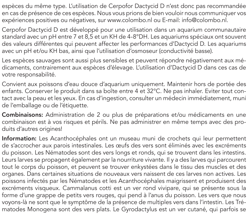espèces du même type. L'utilisation de Cerpofor Dactycid D n'est donc pas recommandée en cas de présence de ces espèces. Nous vous prions de bien vouloir nous communiquer vos expériences positives ou négatives, sur www.colombo.nl ou E-mail: info@colombo.nl.

Cerpofor Dactycid D est développé pour une utilisation dans un aquarium communautaire standard avec un pH entre 7 et 8,5 et un KH de 4-8°DH. Les aquariums spéciaux ont souvent des valeurs différentes qui peuvent affecter les performances d'Dactycid D. Les aquariums avec un pH et/ou KH bas, ainsi que l'utilisation d'osmoseur (conductivité basse).

Les espèces sauvages sont aussi plus sensibles et peuvent répondre négativement aux médicaments, contrairement aux espèces d'élevage. L'utilisation d'Dactycid D dans ces cas de votre responsabilité.

Convient aux poissons d'eau douce d'aquarium uniquement. Maintenir hors de portée des enfants. Conserver le produit dans sa boîte entre 4 et 32°C. Ne pas inhaler. Eviter tout contact avec la peau et les yeux. En cas d'ingestion, consulter un médecin immédiatement, muni de l'emballage ou de l'étiquette.

Combinaisons: Administration de 2 ou plus de préparations et/ou médicaments en une combinaison est à vos risques et périls. Ne pas administrer en même temps avec des produits d'autres origines!

Information: Les Acanthocéphales ont un museau muni de crochets qui leur permettent de s'accrocher aux parois intestinales. Les œufs des vers sont éliminés avec les excréments du poisson. Les Nématodes sont des vers longs et ronds, qui se trouvent dans les intestins. Leurs larves se propagent également par la nourriture vivante. Il y a des larves qui parcourent tout le corps du poisson, et peuvent se trouver enkystées dans le tissu des muscles et des organes. Dans certaines situations de nouveaux vers naissent de ces larves non actives. Les poissons infectés par les Nématodes et les Acanthocéphales maigrissent et produisent des excréments visqueux. Cammalanus cotti est un ver rond vivipare, qui se présente sous la forme d'une grappe de petits vers rouges, qui pend à l'anus du poisson. Les vers que nous voyons-là ne sont que le symptôme de la présence de multiples vers dans l'intestin. Les Trématodes Monogena sont des vers plats. Le Gyrodactylus est un ver cutané, qui parfois se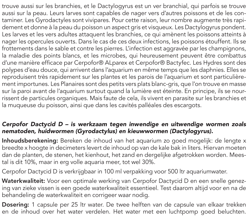trouve aussi sur les branchies, et le Dactylogyrus est un ver branchial, qui parfois se trouve aussi sur la peau. Leurs larves sont capables de nager vers d'autres poissons et de les contaminer. Les Gyrodactyles sont vivipares. Pour cette raison, leur nombre augmente très rapidement et donne à la peau du poisson un aspect gris et visqueux. Les Dactylogyrus pondent. Les larves et les vers adultes attaquent les branchies, ce qui amènent les poissons atteints à nager les opercules ouverts. Dans le cas de ces deux infections, les poissons étouffent. Ils se frottements dans le sable et contre les pierres. L'infection est aggravée par les champignons, la maladie des points blancs, et les microbes, qui heureusement peuvent être combattus d'une manière efficace par Cerpofor® ALparex et Cerpofor® Bactyfec. Les Hydres sont des polypes d'eau douce, qui arrivent dans l'aquarium en même temps que les daphnies. Elles se reproduisent très rapidement sur les plantes et les parois de l'aquarium et sont particulièrement importunes. Les Planaires sont des petits vers plats blanc-gris, que l'on trouve en masse sur la paroi avant de l'aquarium surtout quand la lumière est éteinte. En principe, ils se nourrissent de particules organiques. Mais faute de cela, ils vivent en parasite sur les branchies et la muqueuse du poisson, ainsi que dans les cavités palléales des escargots.

## *Cerpofor Dactycid D – is werkzaam tegen inwendige en uitwendige wormen zoals nematoden, huidwormen (Gyrodactylus) en kieuwwormen (Dactylogyrus).*

Inhoudsberekening: Bereken de inhoud van het aquarium zo goed mogelijk: de lengte x breedte x hoogte in decimeters levert de inhoud op van de kale bak in liters. Hiervan moeten dan de planten, de stenen, het kienhout, het zand en dergelijke afgetrokken worden. Meestal is dit 10%, maar in erg volle aquaria meer, tot wel 30%.

Cerpofor Dactycid D is verkrijgbaar in 100 ml verpakking voor 500 ltr aquariumwater.

Waterkwaliteit: Voor een optimale werking van Cerpofor Dactycid D en een snelle genezing van zieke vissen is een goede waterkwaliteit essentieel. Test daarom altijd voor en na de behandeling de waterkwaliteit en corrigeer waar nodig.

Dosering: 1 capsule per 25 ltr water. De twee helften van de capsule van elkaar trekken en de inhoud over het water verdelen. Het water met een luchtpomp goed beluchten.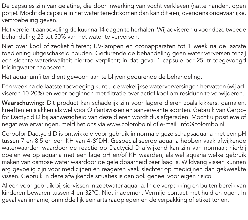De capsules zijn van gelatine, die door inwerking van vocht verkleven (natte handen, open potje). Mocht de capsule in het water terechtkomen dan kan dit een, overigens ongevaarlijke, vertroebeling geven.

Het verdient aanbeveling de kuur na 14 dagen te herhalen. Wij adviseren u voor deze tweede behandeling 25 tot 50% van het water te verversen.

Niet over kool of zeoliet filteren; UV-lampen en ozonapparaten tot 1 week na de laatste toediening uitgeschakeld houden. Gedurende de behandeling geen water verversen tenzij een slechte waterkwaliteit hiertoe verplicht; in dat geval 1 capsule per 25 ltr toegevoegd leidingwater nadoseren.

Het aquariumfilter dient gewoon aan te blijven gedurende de behandeling.

Eén week na de laatste toevoeging kunt u de wekelijkse waterverversingen hervatten (wij adviseren 10-20%) en weer beginnen met filtratie over actief kool om residuen te verwijderen.

Waarschuwing: Dit product kan schadelijk zijn voor lagere dieren zoals kikkers, garnalen, kreeften en slakken als wel voor Olifantsvissen en aanverwante soorten. Gebruik van Cerpofor Dactycid D bij aanwezigheid van deze dieren wordt dus afgeraden. Mocht u positieve of negatieve ervaringen, meld het ons via www.colombo.nl of e-mail: info@colombo.nl.

Cerpofor Dactycid D is ontwikkeld voor gebruik in normale gezelschapsaquaria met een pH tussen 7 en 8.5 en een KH van 4-8°DH. Gespecialiseerde aquaria hebben vaak afwijkende waterwaarden waardoor de reactie op Dactycid D afwijkend kan zijn van normaal; hierbij doelen we op aquaria met een lage pH en/of KH waarden, als wel aquaria welke gebruik maken van osmose water waardoor de geleidbaarheid zeer laag is. Wildvang vissen kunnen erg gevoelig zijn voor medicijnen en reageren vaak slechter op medicijnen dan gekweekte vissen. Gebruik in deze afwijkende situaties is dan ook geheel voor eigen risico.

Alleen voor gebruik bij siervissen in zoetwater aquaria. In de verpakking en buiten bereik van kinderen bewaren tussen 4 en 32°C. Niet inademen. Vermijd contact met huid en ogen. In geval van inname, onmiddellijk een arts raadplegen en de verpakking of etiket tonen.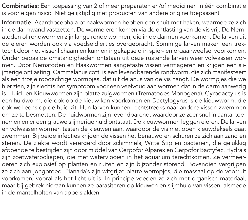Combinaties: Een toepassing van 2 of meer preparaten en/of medicijnen in één combinatie is voor eigen risico. Niet gelijktijdig met producten van andere origine toepassen!

Informatie: Acanthocephala of haakwormen hebben een snuit met haken, waarmee ze zich in de darmwand vastzetten. De wormeieren komen via de ontlasting van de vis vrij. De Nematoden of rondwormen zijn lange ronde wormen, die in de darmen voorkomen. De larven uit de eieren worden ook via voedseldiertjes overgebracht. Sommige larven maken een trektocht door het vissenlichaam en kunnen ingekapseld in spier- en orgaanweefsel voorkomen. Onder bepaalde omstandigheden ontstaan uit deze rustende larven weer volwassen wormen. Door Nematoden en Haakwormen aangetaste vissen vermageren en krijgen een slijmerige ontlasting. Cammalanus cotti is een levendbarende rondworm, die zich manifesteert als een trosje roodachtige wormpjes, dat uit de anus van de vis hangt. De wormpjes die we hier zien, zijn slechts het symptoom voor een veelvoud aan wormen dat in de darm aanwezig is. Huid- en Kieuwwormen zijn platte zuigwormen (Trematodes Monogena). Gyrodactylus is een huidworm, die ook op de kieuw kan voorkomen en Dactylogyrus is de kieuwworm, die ook wel eens op de huid zit. Hun larven kunnen rechtstreeks naar andere vissen zwemmen om ze te besmetten. De huidwormen zijn levendbarend, waardoor ze zeer snel in aantal toenemen en er een grauwe slijmerige huid ontstaat. De kieuwwormen leggen eieren. De larven en volwassen wormen tasten de kieuwen aan, waardoor de vis met open kieuwdeksels gaat zwemmen. Bij beide infecties krijgen de vissen het benauwd en schuren ze zich aan zand en stenen. De ziekte wordt verergerd door schimmels, Witte Stip en bacteriën, die gelukkig afdoende te bestrijden zijn door middel van Cerpofor Alparex en Cerpofor Bactyfec. Hydra's zijn zoetwaterpoliepen, die met watervlooien in het aquarium terechtkomen. Ze vermeerderen zich explosief op planten en ruiten en zijn bijzonder storend. Bovendien vergrijpen ze zich aan jongbroed. Planaria's zijn witgrijze platte wormpjes, die massaal op de voorruit voorkomen, vooral als het licht uit is. In principe voeden ze zich met organisch materiaal, maar bij gebrek hieraan kunnen ze parasiteren op kieuwen en slijmhuid van vissen, alsmede in de mantelholten van appelslakken.